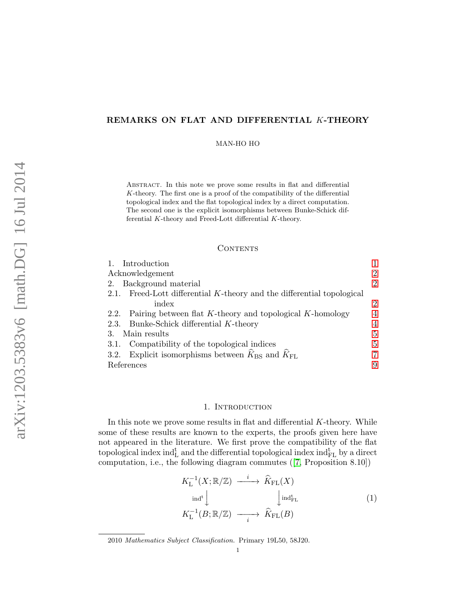# REMARKS ON FLAT AND DIFFERENTIAL K-THEORY

MAN-HO HO

Abstract. In this note we prove some results in flat and differential  $K$ -theory. The first one is a proof of the compatibility of the differential topological index and the flat topological index by a direct computation. The second one is the explicit isomorphisms between Bunke-Schick differential K-theory and Freed-Lott differential K-theory.

## **CONTENTS**

| 1. Introduction                                                        |   |
|------------------------------------------------------------------------|---|
| Acknowledgement                                                        |   |
| Background material<br>2.                                              | 2 |
| 2.1. Freed-Lott differential K-theory and the differential topological |   |
| index                                                                  | 2 |
| 2.2. Pairing between flat K-theory and topological K-homology          | 4 |
| 2.3. Bunke-Schick differential K-theory                                |   |
| Main results                                                           | 5 |
| Compatibility of the topological indices<br>3.1.                       | 5 |
| Explicit isomorphisms between $K_{BS}$ and $K_{FL}$<br>3.2.            |   |
| References                                                             | 9 |

### 1. INTRODUCTION

In this note we prove some results in flat and differential  $K$ -theory. While some of these results are known to the experts, the proofs given here have not appeared in the literature. We first prove the compatibility of the flat topological index ind ${}_{\rm L}^{\rm t}$  and the differential topological index ind ${}_{\rm FL}^{\rm t}$  by a direct computation, i.e., the following diagram commutes ([7, Proposition 8.10])

$$
K_{\mathcal{L}}^{-1}(X; \mathbb{R}/\mathbb{Z}) \xrightarrow{i} \widehat{K}_{\mathcal{F}\mathcal{L}}(X) \n\downarrow^{\text{ind}^{\text{t}}}\n\downarrow^{\text{ind}^{\text{t}}_{\mathcal{F}\mathcal{L}}} \qquad (1) \nK_{\mathcal{L}}^{-1}(B; \mathbb{R}/\mathbb{Z}) \xrightarrow{i} \widehat{K}_{\mathcal{F}\mathcal{L}}(B)
$$

2010 Mathematics Subject Classification. Primary 19L50, 58J20.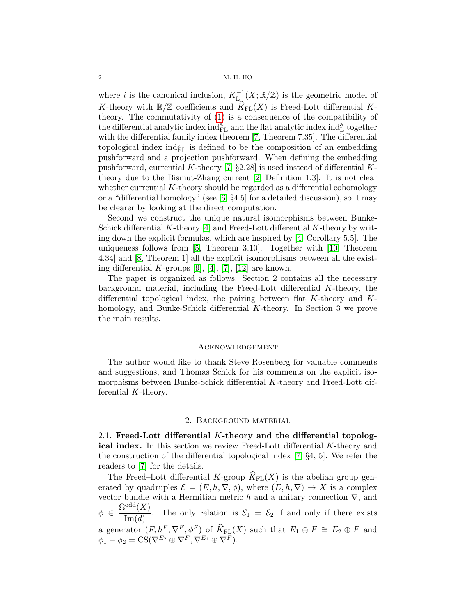where i is the canonical inclusion,  $K_{\mathcal{L}}^{-1}(X;\mathbb{R}/\mathbb{Z})$  is the geometric model of K-theory with  $\mathbb{R}/\mathbb{Z}$  coefficients and  $K_{\text{FL}}(X)$  is Freed-Lott differential Ktheory. The commutativity of (1) is a consequence of the compatibility of the differential analytic index  $ind_{FL}^a$  and the flat analytic index  $ind_{L}^a$  together with the differential family index theorem [7, Theorem 7.35]. The differential topological index  $ind_{FL}^t$  is defined to be the composition of an embedding pushforward and a projection pushforward. When defining the embedding pushforward, currential K-theory [7,  $\S 2.28$ ] is used instead of differential Ktheory due to the Bismut-Zhang current [2, Definition 1.3]. It is not clear whether currential  $K$ -theory should be regarded as a differential cohomology or a "differential homology" (see [6, §4.5] for a detailed discussion), so it may be clearer by looking at the direct computation.

Second we construct the unique natural isomorphisms between Bunke-Schick differential  $K$ -theory [4] and Freed-Lott differential  $K$ -theory by writing down the explicit formulas, which are inspired by [4, Corollary 5.5]. The uniqueness follows from [5, Theorem 3.10]. Together with [10, Theorem 4.34] and [8, Theorem 1] all the explicit isomorphisms between all the existing differential K-groups  $[9]$ ,  $[4]$ ,  $[7]$ ,  $[12]$  are known.

The paper is organized as follows: Section 2 contains all the necessary background material, including the Freed-Lott differential  $K$ -theory, the differential topological index, the pairing between flat K-theory and Khomology, and Bunke-Schick differential K-theory. In Section 3 we prove the main results.

### **ACKNOWLEDGEMENT**

The author would like to thank Steve Rosenberg for valuable comments and suggestions, and Thomas Schick for his comments on the explicit isomorphisms between Bunke-Schick differential K-theory and Freed-Lott differential K-theory.

#### 2. Background material

2.1. Freed-Lott differential K-theory and the differential topological index. In this section we review Freed-Lott differential K-theory and the construction of the differential topological index  $[7, \S4, 5]$ . We refer the readers to [7] for the details.

The Freed–Lott differential K-group  $\widehat{K}_{\text{FL}}(X)$  is the abelian group generated by quadruples  $\mathcal{E} = (E, h, \nabla, \phi)$ , where  $(E, h, \nabla) \rightarrow X$  is a complex vector bundle with a Hermitian metric h and a unitary connection  $\nabla$ , and  $\phi \in \frac{\Omega^{\text{odd}}(X)}{I(X)}$  $\frac{1}{\text{Im}(d)}$ . The only relation is  $\mathcal{E}_1 = \mathcal{E}_2$  if and only if there exists a generator  $(F, h^F, \nabla^F, \phi^F)$  of  $\widehat{K}_{FL}(X)$  such that  $E_1 \oplus F \cong E_2 \oplus F$  and  $\phi_1 - \phi_2 = \text{CS}(\nabla^{E_2} \oplus \nabla^{F}, \nabla^{E_1} \oplus \nabla^{F}).$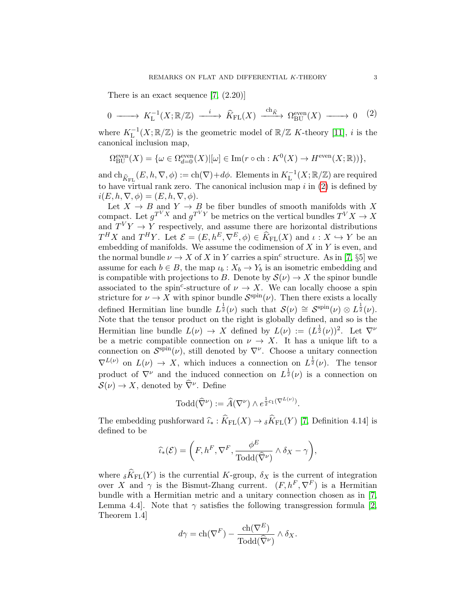There is an exact sequence [7,  $(2.20)$ ]

$$
0 \longrightarrow K_{\mathcal{L}}^{-1}(X; \mathbb{R}/\mathbb{Z}) \longrightarrow \widehat{K}_{\mathcal{F}\mathcal{L}}(X) \xrightarrow{\text{ch}_{\widehat{K}}} \Omega_{\mathcal{B}\mathcal{U}}^{\text{even}}(X) \longrightarrow 0 \quad (2)
$$

where  $K_L^{-1}(X;\mathbb{R}/\mathbb{Z})$  is the geometric model of  $\mathbb{R}/\mathbb{Z}$  K-theory [11], i is the canonical inclusion map,

$$
\Omega_{\text{BU}}^{\text{even}}(X) = \{ \omega \in \Omega_{d=0}^{\text{even}}(X) | [\omega] \in \text{Im}(r \circ \text{ch} : K^0(X) \to H^{\text{even}}(X; \mathbb{R})) \},
$$

and  $ch_{\widehat{K}_{FL}}(E, h, \nabla, \phi) := ch(\nabla) + d\phi$ . Elements in  $K_L^{-1}(X; \mathbb{R}/\mathbb{Z})$  are required to have virtual rank zero. The canonical inclusion map  $i$  in  $(2)$  is defined by  $i(E, h, \nabla, \phi) = (E, h, \nabla, \phi).$ 

Let  $X \to B$  and  $Y \to B$  be fiber bundles of smooth manifolds with X compact. Let  $g^{T^V X}$  and  $g^{T^V Y}$  be metrics on the vertical bundles  $T^V X \to X$ and  $T^V Y \rightarrow Y$  respectively, and assume there are horizontal distributions  $T^H X$  and  $T^H Y$ . Let  $\mathcal{E} = (E, h^E, \nabla^E, \phi) \in \widehat{K}_{\text{FL}}(X)$  and  $\iota : X \hookrightarrow Y$  be an embedding of manifolds. We assume the codimension of  $X$  in  $Y$  is even, and the normal bundle  $\nu \to X$  of X in Y carries a spin<sup>c</sup> structure. As in [7, §5] we assume for each  $b \in B$ , the map  $\iota_b : X_b \to Y_b$  is an isometric embedding and is compatible with projections to B. Denote by  $\mathcal{S}(\nu) \to X$  the spinor bundle associated to the spin<sup>c</sup>-structure of  $\nu \to X$ . We can locally choose a spin stricture for  $\nu \to X$  with spinor bundle  $\mathcal{S}^{\text{spin}}(\nu)$ . Then there exists a locally defined Hermitian line bundle  $L^{\frac{1}{2}}(\nu)$  such that  $\mathcal{S}(\nu) \cong \mathcal{S}^{\text{spin}}(\nu) \otimes L^{\frac{1}{2}}(\nu)$ . Note that the tensor product on the right is globally defined, and so is the Hermitian line bundle  $L(\nu) \to X$  defined by  $L(\nu) := (L^{\frac{1}{2}}(\nu))^2$ . Let  $\nabla^{\nu}$ be a metric compatible connection on  $\nu \to X$ . It has a unique lift to a connection on  $\mathcal{S}^{\text{spin}}(\nu)$ , still denoted by  $\nabla^{\nu}$ . Choose a unitary connection  $\nabla^{L(\nu)}$  on  $L(\nu) \to X$ , which induces a connection on  $L^{\frac{1}{2}}(\nu)$ . The tensor product of  $\nabla^{\nu}$  and the induced connection on  $L^{\frac{1}{2}}(\nu)$  is a connection on  $\mathcal{S}(\nu) \to X$ , denoted by  $\widehat{\nabla}^{\nu}$ . Define

$$
\mathrm{Todd}(\widehat{\nabla}^{\nu}) := \widehat{A}(\nabla^{\nu}) \wedge e^{\frac{1}{2}c_1(\nabla^{L(\nu)})}.
$$

The embedding pushforward  $\widehat{\iota}_* : \widehat{K}_{FL}(X) \to {}_{\delta}\widehat{K}_{FL}(Y)$  [7, Definition 4.14] is defined to be

$$
\widehat{\iota}_{*}(\mathcal{E}) = \left(F, h^{F}, \nabla^{F}, \frac{\phi^{E}}{\text{Total}(\widehat{\nabla}^{\nu})} \wedge \delta_{X} - \gamma\right),\
$$

where  $\delta \widehat{K}_{FL}(Y)$  is the currential K-group,  $\delta_X$  is the current of integration over X and  $\gamma$  is the Bismut-Zhang current.  $(F, h^F, \nabla^F)$  is a Hermitian bundle with a Hermitian metric and a unitary connection chosen as in [7, Lemma 4.4. Note that  $\gamma$  satisfies the following transgression formula [2, Theorem 1.4]

$$
d\gamma = \text{ch}(\nabla^F) - \frac{\text{ch}(\nabla^E)}{\text{Todd}(\widehat{\nabla}^{\nu})} \wedge \delta_X.
$$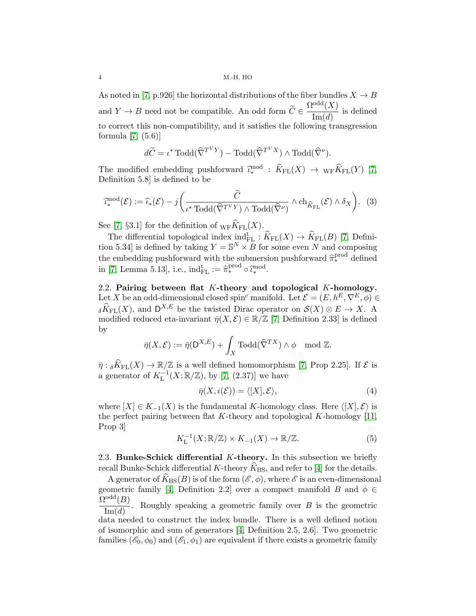As noted in [7, p.926] the horizontal distributions of the fiber bundles  $X \to B$ and  $Y \to B$  need not be compatible. An odd form  $\widetilde{C} \in \frac{\Omega^{odd}(X)}{\text{Im}(d)}$  $\frac{1}{\text{Im}(d)}$  is defined to correct this non-compatibility, and it satisfies the following transgression formula [7, (5.6)]

$$
d\widetilde{C} = \iota^* \operatorname{Todd}(\widehat{\nabla}^{T^V Y}) - \operatorname{Todd}(\widehat{\nabla}^{T^V X}) \wedge \operatorname{Todd}(\widehat{\nabla}^{\nu}).
$$

The modified embedding pushforward  $\hat{\ell}_{*}^{\text{mod}} : \hat{K}_{\text{FL}}(X) \to {}_{\text{WF}}\hat{K}_{\text{FL}}(Y)$  [7, Definition 5.8] is defined to be

$$
\widehat{\iota}_{*}^{\mathrm{mod}}(\mathcal{E}) := \widehat{\iota}_{*}(\mathcal{E}) - j\bigg(\frac{\widetilde{C}}{\iota^{*} \mathrm{ Todd}(\widehat{\nabla}^{T^{V}Y}) \wedge \mathrm{Today}(\widehat{\nabla}^{\nu})} \wedge \mathrm{ch}_{\widehat{K}_{\mathrm{FL}}}(\mathcal{E}) \wedge \delta_{X}\bigg). \tag{3}
$$

See [7, §3.1] for the definition of  $_{\text{WF}}\hat{K}_{\text{FL}}(X)$ .

The differential topological index  $ind_{FL}^{\text{t}} : \widehat{K}_{FL}(X) \to \widehat{K}_{FL}(B)$  [7, Definition 5.34 is defined by taking  $Y = \mathbb{S}^N \times \overline{B}$  for some even N and composing the embedding pushforward with the submersion pushforward  $\hat{\pi}_{*}^{\text{prod}}$  defined<br>in [7] I groups 5.12] i.e. ind<sup>t</sup> in  $\hat{\pi}_{*}^{\text{prod}}$  a  $\hat{\pi}_{*}^{\text{mod}}$ in [7, Lemma 5.13], i.e.,  $\text{ind}_{\text{FL}}^{\text{t}} := \hat{\pi}_*^{\text{prod}} \circ \hat{\iota}_*^{\text{mod}}.$ 

2.2. Pairing between flat K-theory and topological K-homology. Let X be an odd-dimensional closed spin<sup>c</sup> manifold. Let  $\mathcal{E} = (E, h^E, \nabla^E, \phi) \in$  $\delta \widehat{K}_{\text{FL}}(X)$ , and  $\mathsf{D}^{X,E}$  be the twisted Dirac operator on  $\mathcal{S}(X) \otimes E \to X$ . A modified reduced eta-invariant  $\bar{\eta}(X, \mathcal{E}) \in \mathbb{R}/\mathbb{Z}$  [7, Definition 2.33] is defined by

$$
\bar{\eta}(X,\mathcal{E}) := \bar{\eta}(\mathsf{D}^{X,E}) + \int_X \mathrm{Todd}(\widehat{\nabla}^{TX}) \wedge \phi \mod \mathbb{Z}.
$$

 $\bar{\eta}: {}_{\delta}\widehat{K}_{\mathrm{FL}}(X) \to \mathbb{R}/\mathbb{Z}$  is a well defined homomorphism [7, Prop 2.25]. If  $\mathcal{E}$  is a generator of  $K_L^{-1}(X;\mathbb{R}/\mathbb{Z})$ , by [7, (2.37)] we have

$$
\bar{\eta}(X, i(\mathcal{E})) = \langle [X], \mathcal{E} \rangle,
$$
\n(4)

where  $[X] \in K_{-1}(X)$  is the fundamental K-homology class. Here  $\langle [X], \mathcal{E} \rangle$  is the perfect pairing between flat K-theory and topological K-homology  $[11]$ , Prop 3]

$$
K_L^{-1}(X; \mathbb{R}/\mathbb{Z}) \times K_{-1}(X) \to \mathbb{R}/\mathbb{Z}.
$$
 (5)

2.3. Bunke-Schick differential  $K$ -theory. In this subsection we briefly recall Bunke-Schick differential K-theory  $\widehat{K}_{\text{BS}}$ , and refer to [4] for the details.

A generator of  $\widehat{K}_{\text{BS}}(B)$  is of the form  $(\mathscr{E}, \phi)$ , where  $\mathscr{E}$  is an even-dimensional geometric family [4, Definition 2.2] over a compact manifold B and  $\phi \in$  $\Omega^{\text{odd}}(B)$ 

 $Im(d)$ Roughly speaking a geometric family over  $B$  is the geometric

data needed to construct the index bundle. There is a well defined notion of isomorphic and sum of generators [4, Definition 2.5, 2.6]. Two geometric families  $(\mathscr{E}_0, \phi_0)$  and  $(\mathscr{E}_1, \phi_1)$  are equivalent if there exists a geometric family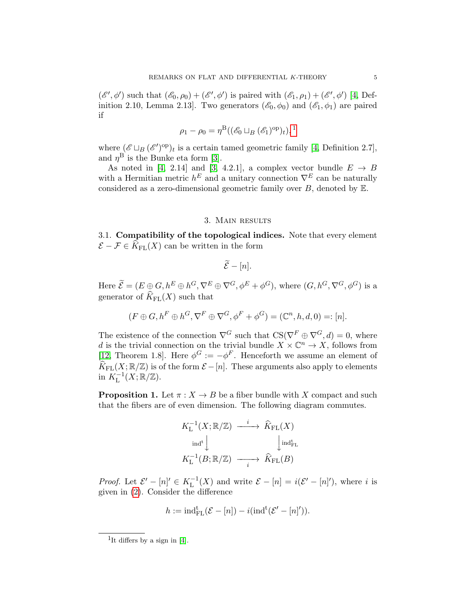$(\mathscr{E}', \phi')$  such that  $(\mathscr{E}_0, \rho_0) + (\mathscr{E}', \phi')$  is paired with  $(\mathscr{E}_1, \rho_1) + (\mathscr{E}', \phi')$  [4, Definition 2.10, Lemma 2.13. Two generators  $(\mathscr{E}_0, \phi_0)$  and  $(\mathscr{E}_1, \phi_1)$  are paired if

$$
\rho_1 - \rho_0 = \eta^{\mathrm{B}}((\mathcal{E}_0 \sqcup_B (\mathcal{E}_1)^{\mathrm{op}})_t),
$$
<sup>1</sup>

where  $(\mathscr{E} \sqcup_B (\mathscr{E}')^{\text{op}})_t$  is a certain tamed geometric family [4, Definition 2.7], and  $\eta^{\rm B}$  is the Bunke eta form [3].

As noted in [4, 2.14] and [3, 4.2.1], a complex vector bundle  $E \rightarrow B$ with a Hermitian metric  $h^E$  and a unitary connection  $\nabla^E$  can be naturally considered as a zero-dimensional geometric family over  $B$ , denoted by  $E$ .

## 3. Main results

3.1. Compatibility of the topological indices. Note that every element  $\mathcal{E} - \mathcal{F} \in \widehat{K}_{\mathrm{FL}}(X)$  can be written in the form

$$
\widetilde{\mathcal{E}}-[n].
$$

Here  $\widetilde{\mathcal{E}} = (E \oplus G, h^E \oplus h^G, \nabla^E \oplus \nabla^G, \phi^E + \phi^G)$ , where  $(G, h^G, \nabla^G, \phi^G)$  is a generator of  $\widehat{K}_{\text{FL}}(X)$  such that

$$
(F \oplus G, h^F \oplus h^G, \nabla^F \oplus \nabla^G, \phi^F + \phi^G) = (\mathbb{C}^n, h, d, 0) =: [n].
$$

The existence of the connection  $\nabla^G$  such that  $CS(\nabla^F \oplus \nabla^G, d) = 0$ , where d is the trivial connection on the trivial bundle  $X \times \mathbb{C}^n \to X$ , follows from [12, Theorem 1.8]. Here  $\phi^G := -\phi^F$ . Henceforth we assume an element of  $\widehat{K}_{\text{FL}}(X;\mathbb{R}/\mathbb{Z})$  is of the form  $\mathcal{E} - [n]$ . These arguments also apply to elements in  $K_L^{-1}(X;\mathbb{R}/\mathbb{Z})$ .

**Proposition 1.** Let  $\pi$  :  $X \to B$  be a fiber bundle with X compact and such that the fibers are of even dimension. The following diagram commutes.

$$
K_{\mathrm{L}}^{-1}(X;\mathbb{R}/\mathbb{Z}) \xrightarrow{i} \widehat{K}_{\mathrm{FL}}(X)
$$
  
ind<sup>t</sup> $\downarrow$   
 $K_{\mathrm{L}}^{-1}(B;\mathbb{R}/\mathbb{Z}) \xrightarrow{i} \widehat{K}_{\mathrm{FL}}(B)$ 

*Proof.* Let  $\mathcal{E}' - [n]' \in K_L^{-1}(X)$  and write  $\mathcal{E} - [n] = i(\mathcal{E}' - [n]')$ , where i is given in (2). Consider the difference

$$
h := \mathrm{ind}_{\mathrm{FL}}^{\mathrm{t}}(\mathcal{E} - [n]) - i(\mathrm{ind}^{\mathrm{t}}(\mathcal{E}' - [n]^{\prime})).
$$

<sup>&</sup>lt;sup>1</sup>It differs by a sign in [4].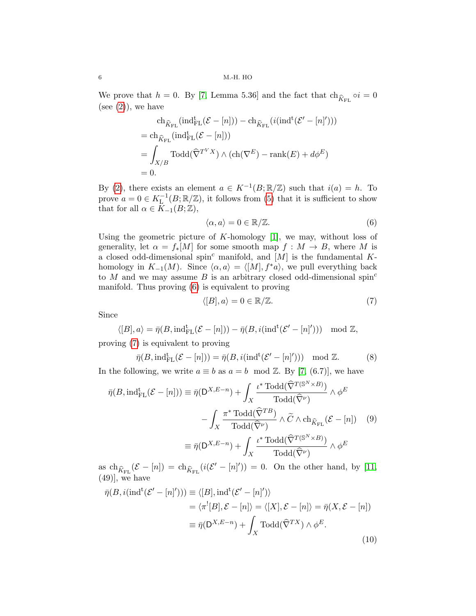We prove that  $h = 0$ . By [7, Lemma 5.36] and the fact that  $ch_{\hat{K}_{FL}} \circ i = 0$ (see  $(2)$ ), we have

$$
\operatorname{ch}_{\widehat{K}_{\mathrm{FL}}}(\operatorname{ind}_{\mathrm{FL}}^{\mathrm{t}}(\mathcal{E} - [n])) - \operatorname{ch}_{\widehat{K}_{\mathrm{FL}}}(\operatorname{i}(\operatorname{ind}^{\mathrm{t}}(\mathcal{E}' - [n]^{\prime})))
$$
\n
$$
= \operatorname{ch}_{\widehat{K}_{\mathrm{FL}}}(\operatorname{ind}_{\mathrm{FL}}^{\mathrm{t}}(\mathcal{E} - [n]))
$$
\n
$$
= \int_{X/B} \operatorname{Todd}(\widehat{\nabla}^{T^{V}X}) \wedge (\operatorname{ch}(\nabla^{E}) - \operatorname{rank}(E) + d\phi^{E})
$$
\n
$$
= 0.
$$

By (2), there exists an element  $a \in K^{-1}(B;\mathbb{R}/\mathbb{Z})$  such that  $i(a) = h$ . To prove  $a = 0 \in K_L^{-1}(B; \mathbb{R}/\mathbb{Z})$ , it follows from (5) that it is sufficient to show that for all  $\alpha \in \overline{K}_{-1}(B;\mathbb{Z}),$ 

$$
\langle \alpha, a \rangle = 0 \in \mathbb{R}/\mathbb{Z}.
$$
 (6)

Using the geometric picture of  $K$ -homology [1], we may, without loss of generality, let  $\alpha = f_*[M]$  for some smooth map  $f : M \to B$ , where M is a closed odd-dimensional spin<sup>c</sup> manifold, and  $[M]$  is the fundamental Khomology in  $K_{-1}(M)$ . Since  $\langle \alpha, a \rangle = \langle [M], f^*a \rangle$ , we pull everything back to M and we may assume B is an arbitrary closed odd-dimensional spin<sup>c</sup> manifold. Thus proving (6) is equivalent to proving

$$
\langle [B], a \rangle = 0 \in \mathbb{R}/\mathbb{Z}.
$$
 (7)

Since

$$
\langle [B], a \rangle = \bar{\eta}(B, \text{ind}_{\text{FL}}^{\text{t}}(\mathcal{E} - [n])) - \bar{\eta}(B, i(\text{ind}^{\text{t}}(\mathcal{E}' - [n]^{\prime}))) \mod \mathbb{Z},
$$

proving (7) is equivalent to proving

$$
\bar{\eta}(B, \text{ind}_{\text{FL}}^{\text{t}}(\mathcal{E} - [n])) = \bar{\eta}(B, i(\text{ind}^{\text{t}}(\mathcal{E}' - [n]^{\prime}))) \mod \mathbb{Z}.
$$
 (8)

In the following, we write  $a \equiv b$  as  $a = b \mod \mathbb{Z}$ . By [7, (6.7)], we have

$$
\bar{\eta}(B, \text{ind}_{\text{FL}}^{\text{t}}(\mathcal{E} - [n])) \equiv \bar{\eta}(D^{X,E-n}) + \int_{X} \frac{\iota^* \text{Todd}(\hat{\nabla}^{T(\mathbb{S}^N \times B)})}{\text{Todd}(\hat{\nabla}^{\nu})} \wedge \phi^E
$$

$$
- \int_{X} \frac{\pi^* \text{Todd}(\hat{\nabla}^{TB})}{\text{Todd}(\hat{\nabla}^{\nu})} \wedge \tilde{C} \wedge \text{ch}_{\hat{K}_{\text{FL}}}(\mathcal{E} - [n]) \quad (9)
$$

$$
\equiv \bar{\eta}(D^{X,E-n}) + \int_{X} \frac{\iota^* \text{Todd}(\hat{\nabla}^{T(\mathbb{S}^N \times B)})}{\text{Todd}(\hat{\nabla}^{\nu})} \wedge \phi^E
$$

as  $\text{ch}_{\widehat{K}_{\text{FL}}}(\mathcal{E} - [n]) = \text{ch}_{\widehat{K}_{\text{FL}}}(\widehat{i}(\mathcal{E}' - [n]^{\prime})) = 0$ . On the other hand, by [11,  $(49)$ , we have

$$
\bar{\eta}(B, i(\text{ind}^t(\mathcal{E}' - [n]^{\prime}))) \equiv \langle [B], \text{ind}^t(\mathcal{E}' - [n]^{\prime}) \rangle
$$
  
\n
$$
= \langle \pi^![B], \mathcal{E} - [n] \rangle = \langle [X], \mathcal{E} - [n] \rangle = \bar{\eta}(X, \mathcal{E} - [n])
$$
  
\n
$$
\equiv \bar{\eta}(D^{X,E-n}) + \int_X \text{ Todd}(\widehat{\nabla}^{TX}) \wedge \phi^E.
$$
\n(10)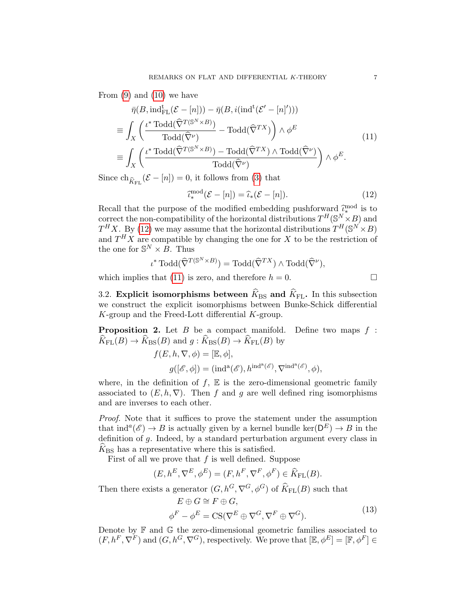From (9) and (10) we have

$$
\bar{\eta}(B, \text{ind}_{\text{FL}}^{\text{t}}(\mathcal{E} - [n])) - \bar{\eta}(B, i(\text{ind}^{\text{t}}(\mathcal{E}' - [n]^{\prime})))
$$
\n
$$
\equiv \int_{X} \left( \frac{\iota^* \text{ Todd}(\widehat{\nabla}^{T(\mathbb{S}^N \times B)})}{\text{Today}(\widehat{\nabla}^{\nu})} - \text{Today}(\widehat{\nabla}^{TX}) \right) \wedge \phi^E
$$
\n
$$
\equiv \int_{X} \left( \frac{\iota^* \text{ Todd}(\widehat{\nabla}^{T(\mathbb{S}^N \times B)}) - \text{Today}(\widehat{\nabla}^{TX}) \wedge \text{Today}(\widehat{\nabla}^{\nu})}{\text{Today}(\widehat{\nabla}^{\nu})} \right) \wedge \phi^E.
$$
\n(11)

Since  $\text{ch}_{\widehat{K}_{FL}}(\mathcal{E} - [n]) = 0$ , it follows from (3) that

$$
\hat{\iota}_{*}^{\text{mod}}(\mathcal{E} - [n]) = \hat{\iota}_{*}(\mathcal{E} - [n]).
$$
\n(12)

\nof the modified embedding pushforward  $\hat{\iota}_{*}^{\text{mod}}$  is to

Recall that the purpose of the modified embedding pushforward  $\hat{\ell}_*^{\text{max}}$ <br>correct the non-compatibility of the horizontal distributions  $TH(\mathcal{S}^N)$ . correct the non-compatibility of the horizontal distributions  $T^H(\mathbb{S}^N\times B)$  and  $T^H X$ . By (12) we may assume that the horizontal distributions  $T^H(S^N \times B)$ and  $T^H X$  are compatible by changing the one for X to be the restriction of the one for  $\mathbb{S}^N \times \mathbb{B}$ . Thus

$$
\iota^* \operatorname{Todd}(\widehat{\nabla}^{T(\mathbb{S}^N \times B)}) = \operatorname{Todd}(\widehat{\nabla}^{TX}) \wedge \operatorname{Todd}(\widehat{\nabla}^{\nu}),
$$

which implies that (11) is zero, and therefore  $h = 0$ .

3.2. Explicit isomorphisms between  $\widehat{K}_{\text{BS}}$  and  $\widehat{K}_{\text{FL}}$ . In this subsection we construct the explicit isomorphisms between Bunke-Schick differential  $K$ -group and the Freed-Lott differential  $K$ -group.

**Proposition 2.** Let  $B$  be a compact manifold. Define two maps  $f$ :  $\widehat{K}_{\text{FL}}(B) \to \widehat{K}_{\text{BS}}(B)$  and  $g : \widehat{K}_{\text{BS}}(B) \to \widehat{K}_{\text{FL}}(B)$  by

$$
f(E, h, \nabla, \phi) = [\mathbb{E}, \phi],
$$
  

$$
g([\mathscr{E}, \phi]) = (\text{ind}^{\mathbf{a}}(\mathscr{E}), h^{\text{ind}^{\mathbf{a}}(\mathscr{E})}, \nabla^{\text{ind}^{\mathbf{a}}(\mathscr{E})}, \phi),
$$

where, in the definition of  $f$ ,  $E$  is the zero-dimensional geometric family associated to  $(E, h, \nabla)$ . Then f and g are well defined ring isomorphisms and are inverses to each other.

Proof. Note that it suffices to prove the statement under the assumption that  $\text{ind}^a(\mathscr{E}) \to B$  is actually given by a kernel bundle  $\ker(D^E) \to B$  in the definition of g. Indeed, by a standard perturbation argument every class in  $\widehat{K}_{\text{BS}}$  has a representative where this is satisfied.

First of all we prove that  $f$  is well defined. Suppose

$$
(E,h^E,\nabla^E,\phi^E)=(F,h^F,\nabla^F,\phi^F)\in \widehat{K}_{\rm FL}(B).
$$

Then there exists a generator  $(G, h^G, \nabla^G, \phi^G)$  of  $\widehat{K}_{FL}(B)$  such that

$$
E \oplus G \cong F \oplus G,
$$
  

$$
\phi^F - \phi^E = \text{CS}(\nabla^E \oplus \nabla^G, \nabla^F \oplus \nabla^G).
$$
 (13)

Denote by  $\mathbb F$  and  $\mathbb G$  the zero-dimensional geometric families associated to  $(F, h^F, \nabla^F)$  and  $(G, h^G, \nabla^G)$ , respectively. We prove that  $[\mathbb{E}, \phi^E] = [\mathbb{F}, \phi^F] \in$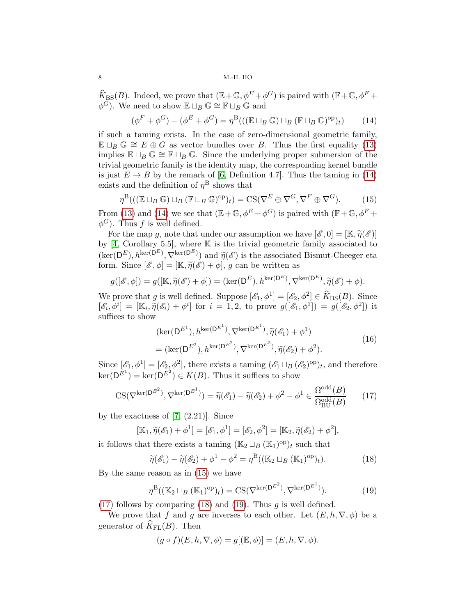$\widehat{K}_{\text{BS}}(B)$ . Indeed, we prove that  $(\mathbb{E} + \mathbb{G}, \phi^E + \phi^G)$  is paired with  $(\mathbb{F} + \mathbb{G}, \phi^F + \phi^G)$  $\phi^{\overline{G}}$ ). We need to show  $\mathbb{E} \sqcup_B \mathbb{G} \cong \mathbb{F} \sqcup_B \mathbb{G}$  and

$$
(\phi^F + \phi^G) - (\phi^E + \phi^G) = \eta^B(((\mathbb{E} \sqcup_B \mathbb{G}) \sqcup_B (\mathbb{F} \sqcup_B \mathbb{G})^{\text{op}})_t)
$$
(14)

if such a taming exists. In the case of zero-dimensional geometric family,  $\mathbb{E} \sqcup_B \mathbb{G} \cong E \oplus G$  as vector bundles over B. Thus the first equality (13) implies  $\mathbb{E} \sqcup_B \mathbb{G} \cong \mathbb{F} \sqcup_B \mathbb{G}$ . Since the underlying proper submersion of the trivial geometric family is the identity map, the corresponding kernel bundle is just  $E \to B$  by the remark of [6, Definition 4.7]. Thus the taming in (14) exists and the definition of  $\eta^{\text{B}}$  shows that

$$
\eta^{\mathcal{B}}(((\mathbb{E}\sqcup_B \mathbb{G})\sqcup_B (\mathbb{F}\sqcup_B \mathbb{G})^{\text{op}})_t) = \text{CS}(\nabla^E \oplus \nabla^G, \nabla^F \oplus \nabla^G). \tag{15}
$$

From (13) and (14) we see that  $(\mathbb{E} + \mathbb{G}, \phi^E + \phi^G)$  is paired with  $(\mathbb{F} + \mathbb{G}, \phi^F + \phi^G)$  $\phi^G$ ). Thus f is well defined.

For the map g, note that under our assumption we have  $[\mathscr{E}, 0] = [\mathbb{K}, \widetilde{\eta}(\mathscr{E})]$ by  $[4, Corollary 5.5]$ , where  $\mathbb K$  is the trivial geometric family associated to  $(\ker(D^E), h^{\ker(D^E)}, \nabla^{\ker(D^E)})$  and  $\tilde{\eta}(\mathscr{E})$  is the associated Bismut-Cheeger eta form. Since  $[\mathscr{E}, \phi] = [\mathbb{K}, \widetilde{\eta}(\mathscr{E}) + \phi]$ , g can be written as

$$
g([\mathscr{E}, \phi]) = g([\mathbb{K}, \widetilde{\eta}(\mathscr{E}) + \phi]) = (\ker(\mathsf{D}^E), h^{\ker(\mathsf{D}^E)}, \nabla^{\ker(\mathsf{D}^E)}, \widetilde{\eta}(\mathscr{E}) + \phi).
$$

We prove that g is well defined. Suppose  $[\mathscr{E}_1, \phi^1] = [\mathscr{E}_2, \phi^2] \in \widehat{K}_{\text{BS}}(B)$ . Since  $[\mathscr{E}_i, \phi^i] = [\mathbb{K}_i, \tilde{\eta}(\mathscr{E}_i) + \phi^i]$  for  $i = 1, 2$ , to prove  $g([\mathscr{E}_1, \phi^1]) = g([\mathscr{E}_2, \phi^2])$  it suffices to show suffices to show

$$
(\ker(\mathbf{D}^{E^1}), h^{\ker(\mathbf{D}^{E^1})}, \nabla^{\ker(\mathbf{D}^{E^1})}, \tilde{\eta}(\mathscr{E}_1) + \phi^1)
$$
  
= 
$$
(\ker(\mathbf{D}^{E^2}), h^{\ker(\mathbf{D}^{E^2})}, \nabla^{\ker(\mathbf{D}^{E^2})}, \tilde{\eta}(\mathscr{E}_2) + \phi^2).
$$
 (16)

Since  $[\mathscr{E}_1, \phi^1] = [\mathscr{E}_2, \phi^2]$ , there exists a taming  $(\mathscr{E}_1 \sqcup_B (\mathscr{E}_2)^{\text{op}})_t$ , and therefore  $\ker(D^{E^1}) = \ker(D^{E^2}) \in K(B)$ . Thus it suffices to show

$$
\text{CS}(\nabla^{\ker(\mathsf{D}^{E^2})}, \nabla^{\ker(\mathsf{D}^{E^1})}) = \widetilde{\eta}(\mathscr{E}_1) - \widetilde{\eta}(\mathscr{E}_2) + \phi^2 - \phi^1 \in \frac{\Omega^{\text{odd}}(B)}{\Omega^{\text{odd}}_{\text{BU}}(B)} \tag{17}
$$

by the exactness of  $[7, (2.21)]$ . Since

$$
[\mathbb{K}_1, \widetilde{\eta}(\mathscr{E}_1) + \phi^1] = [\mathscr{E}_1, \phi^1] = [\mathscr{E}_2, \phi^2] = [\mathbb{K}_2, \widetilde{\eta}(\mathscr{E}_2) + \phi^2],
$$

it follows that there exists a taming  $(\mathbb{K}_2 \sqcup_B (\mathbb{K}_1)^{\text{op}})_t$  such that

$$
\widetilde{\eta}(\mathscr{E}_1) - \widetilde{\eta}(\mathscr{E}_2) + \phi^1 - \phi^2 = \eta^{\mathrm{B}}((\mathbb{K}_2 \sqcup_B (\mathbb{K}_1)^{\mathrm{op}})_t). \tag{18}
$$

By the same reason as in (15) we have

$$
\eta^{\mathcal{B}}((\mathbb{K}_2 \sqcup_B (\mathbb{K}_1)^{\text{op}})_t) = \text{CS}(\nabla^{\ker(\mathsf{D}^{E^2})}, \nabla^{\ker(\mathsf{D}^{E^1})}).\tag{19}
$$

(17) follows by comparing (18) and (19). Thus  $g$  is well defined.

We prove that f and g are inverses to each other. Let  $(E, h, \nabla, \phi)$  be a generator of  $\widehat{K}_{\text{FL}}(B)$ . Then

$$
(g \circ f)(E, h, \nabla, \phi) = g[(\mathbb{E}, \phi)] = (E, h, \nabla, \phi).
$$